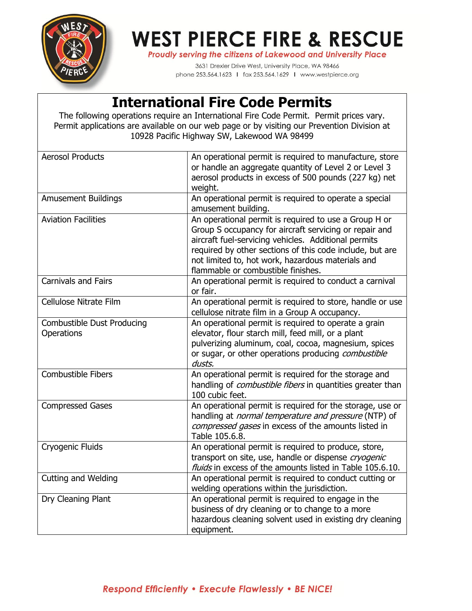

## **WEST PIERCE FIRE & RESCUE**

Proudly serving the citizens of Lakewood and University Place

3631 Drexler Drive West, University Place, WA 98466 phone 253.564.1623 | fax 253.564.1629 | www.westpierce.org

## **International Fire Code Permits**

The following operations require an International Fire Code Permit. Permit prices vary. Permit applications are available on our web page or by visiting our Prevention Division at 10928 Pacific Highway SW, Lakewood WA 98499

| <b>Aerosol Products</b>                         | An operational permit is required to manufacture, store<br>or handle an aggregate quantity of Level 2 or Level 3<br>aerosol products in excess of 500 pounds (227 kg) net<br>weight.                                                                                                                                           |
|-------------------------------------------------|--------------------------------------------------------------------------------------------------------------------------------------------------------------------------------------------------------------------------------------------------------------------------------------------------------------------------------|
| <b>Amusement Buildings</b>                      | An operational permit is required to operate a special<br>amusement building.                                                                                                                                                                                                                                                  |
| <b>Aviation Facilities</b>                      | An operational permit is required to use a Group H or<br>Group S occupancy for aircraft servicing or repair and<br>aircraft fuel-servicing vehicles. Additional permits<br>required by other sections of this code include, but are<br>not limited to, hot work, hazardous materials and<br>flammable or combustible finishes. |
| <b>Carnivals and Fairs</b>                      | An operational permit is required to conduct a carnival<br>or fair.                                                                                                                                                                                                                                                            |
| Cellulose Nitrate Film                          | An operational permit is required to store, handle or use<br>cellulose nitrate film in a Group A occupancy.                                                                                                                                                                                                                    |
| <b>Combustible Dust Producing</b><br>Operations | An operational permit is required to operate a grain<br>elevator, flour starch mill, feed mill, or a plant<br>pulverizing aluminum, coal, cocoa, magnesium, spices<br>or sugar, or other operations producing combustible<br>dusts.                                                                                            |
| <b>Combustible Fibers</b>                       | An operational permit is required for the storage and<br>handling of <i>combustible fibers</i> in quantities greater than<br>100 cubic feet.                                                                                                                                                                                   |
| <b>Compressed Gases</b>                         | An operational permit is required for the storage, use or<br>handling at <i>normal temperature and pressure</i> (NTP) of<br>compressed gases in excess of the amounts listed in<br>Table 105.6.8.                                                                                                                              |
| Cryogenic Fluids                                | An operational permit is required to produce, store,<br>transport on site, use, handle or dispense cryogenic<br>fluids in excess of the amounts listed in Table 105.6.10.                                                                                                                                                      |
| Cutting and Welding                             | An operational permit is required to conduct cutting or<br>welding operations within the jurisdiction.                                                                                                                                                                                                                         |
| Dry Cleaning Plant                              | An operational permit is required to engage in the<br>business of dry cleaning or to change to a more<br>hazardous cleaning solvent used in existing dry cleaning<br>equipment.                                                                                                                                                |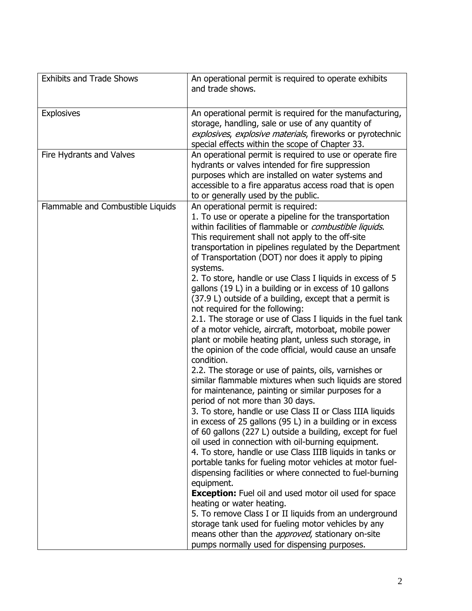| <b>Exhibits and Trade Shows</b>   | An operational permit is required to operate exhibits<br>and trade shows.                                                                                                                                                                                                                                                                                                                                                                                                                                                                                                                                                                                                                                                                                                                                                                                                                                                                                                                                                                                                                                                                                                                                                                                                                                                                                                                                                                                                                                                                                                                                                                                                                                                                                                                                                   |
|-----------------------------------|-----------------------------------------------------------------------------------------------------------------------------------------------------------------------------------------------------------------------------------------------------------------------------------------------------------------------------------------------------------------------------------------------------------------------------------------------------------------------------------------------------------------------------------------------------------------------------------------------------------------------------------------------------------------------------------------------------------------------------------------------------------------------------------------------------------------------------------------------------------------------------------------------------------------------------------------------------------------------------------------------------------------------------------------------------------------------------------------------------------------------------------------------------------------------------------------------------------------------------------------------------------------------------------------------------------------------------------------------------------------------------------------------------------------------------------------------------------------------------------------------------------------------------------------------------------------------------------------------------------------------------------------------------------------------------------------------------------------------------------------------------------------------------------------------------------------------------|
| <b>Explosives</b>                 | An operational permit is required for the manufacturing,<br>storage, handling, sale or use of any quantity of<br>explosives, explosive materials, fireworks or pyrotechnic<br>special effects within the scope of Chapter 33.                                                                                                                                                                                                                                                                                                                                                                                                                                                                                                                                                                                                                                                                                                                                                                                                                                                                                                                                                                                                                                                                                                                                                                                                                                                                                                                                                                                                                                                                                                                                                                                               |
| Fire Hydrants and Valves          | An operational permit is required to use or operate fire<br>hydrants or valves intended for fire suppression<br>purposes which are installed on water systems and<br>accessible to a fire apparatus access road that is open<br>to or generally used by the public.                                                                                                                                                                                                                                                                                                                                                                                                                                                                                                                                                                                                                                                                                                                                                                                                                                                                                                                                                                                                                                                                                                                                                                                                                                                                                                                                                                                                                                                                                                                                                         |
| Flammable and Combustible Liquids | An operational permit is required:<br>1. To use or operate a pipeline for the transportation<br>within facilities of flammable or <i>combustible liquids</i> .<br>This requirement shall not apply to the off-site<br>transportation in pipelines regulated by the Department<br>of Transportation (DOT) nor does it apply to piping<br>systems.<br>2. To store, handle or use Class I liquids in excess of 5<br>gallons (19 L) in a building or in excess of 10 gallons<br>(37.9 L) outside of a building, except that a permit is<br>not required for the following:<br>2.1. The storage or use of Class I liquids in the fuel tank<br>of a motor vehicle, aircraft, motorboat, mobile power<br>plant or mobile heating plant, unless such storage, in<br>the opinion of the code official, would cause an unsafe<br>condition.<br>2.2. The storage or use of paints, oils, varnishes or<br>similar flammable mixtures when such liquids are stored<br>for maintenance, painting or similar purposes for a<br>period of not more than 30 days.<br>3. To store, handle or use Class II or Class IIIA liquids<br>in excess of 25 gallons (95 L) in a building or in excess<br>of 60 gallons (227 L) outside a building, except for fuel<br>oil used in connection with oil-burning equipment.<br>4. To store, handle or use Class IIIB liquids in tanks or<br>portable tanks for fueling motor vehicles at motor fuel-<br>dispensing facilities or where connected to fuel-burning<br>equipment.<br><b>Exception:</b> Fuel oil and used motor oil used for space<br>heating or water heating.<br>5. To remove Class I or II liquids from an underground<br>storage tank used for fueling motor vehicles by any<br>means other than the <i>approved</i> , stationary on-site<br>pumps normally used for dispensing purposes. |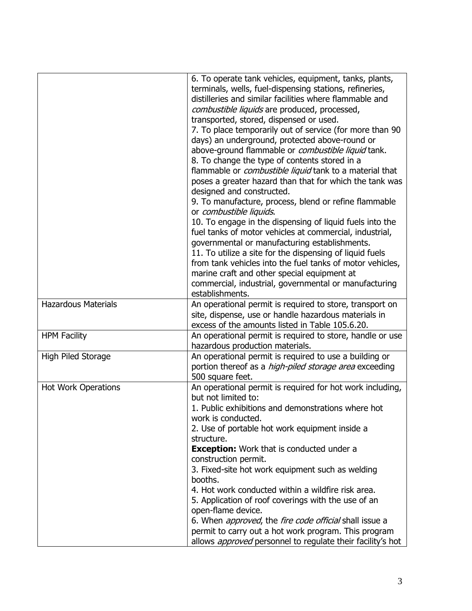|                            | 6. To operate tank vehicles, equipment, tanks, plants,<br>terminals, wells, fuel-dispensing stations, refineries,<br>distilleries and similar facilities where flammable and<br>combustible liquids are produced, processed,<br>transported, stored, dispensed or used.<br>7. To place temporarily out of service (for more than 90<br>days) an underground, protected above-round or<br>above-ground flammable or <i>combustible liquid</i> tank.<br>8. To change the type of contents stored in a<br>flammable or <i>combustible liquid</i> tank to a material that<br>poses a greater hazard than that for which the tank was<br>designed and constructed.<br>9. To manufacture, process, blend or refine flammable<br>or combustible liquids.<br>10. To engage in the dispensing of liquid fuels into the<br>fuel tanks of motor vehicles at commercial, industrial,<br>governmental or manufacturing establishments.<br>11. To utilize a site for the dispensing of liquid fuels<br>from tank vehicles into the fuel tanks of motor vehicles,<br>marine craft and other special equipment at<br>commercial, industrial, governmental or manufacturing<br>establishments. |
|----------------------------|-------------------------------------------------------------------------------------------------------------------------------------------------------------------------------------------------------------------------------------------------------------------------------------------------------------------------------------------------------------------------------------------------------------------------------------------------------------------------------------------------------------------------------------------------------------------------------------------------------------------------------------------------------------------------------------------------------------------------------------------------------------------------------------------------------------------------------------------------------------------------------------------------------------------------------------------------------------------------------------------------------------------------------------------------------------------------------------------------------------------------------------------------------------------------------|
| <b>Hazardous Materials</b> | An operational permit is required to store, transport on<br>site, dispense, use or handle hazardous materials in<br>excess of the amounts listed in Table 105.6.20.                                                                                                                                                                                                                                                                                                                                                                                                                                                                                                                                                                                                                                                                                                                                                                                                                                                                                                                                                                                                           |
| <b>HPM Facility</b>        | An operational permit is required to store, handle or use<br>hazardous production materials.                                                                                                                                                                                                                                                                                                                                                                                                                                                                                                                                                                                                                                                                                                                                                                                                                                                                                                                                                                                                                                                                                  |
| High Piled Storage         | An operational permit is required to use a building or<br>portion thereof as a <i>high-piled storage area</i> exceeding<br>500 square feet.                                                                                                                                                                                                                                                                                                                                                                                                                                                                                                                                                                                                                                                                                                                                                                                                                                                                                                                                                                                                                                   |
| <b>Hot Work Operations</b> | An operational permit is required for hot work including,<br>but not limited to:<br>1. Public exhibitions and demonstrations where hot<br>work is conducted.<br>2. Use of portable hot work equipment inside a<br>structure.<br><b>Exception:</b> Work that is conducted under a<br>construction permit.<br>3. Fixed-site hot work equipment such as welding<br>booths.<br>4. Hot work conducted within a wildfire risk area.<br>5. Application of roof coverings with the use of an<br>open-flame device.<br>6. When <i>approved</i> , the <i>fire code official</i> shall issue a<br>permit to carry out a hot work program. This program<br>allows <i>approved</i> personnel to regulate their facility's hot                                                                                                                                                                                                                                                                                                                                                                                                                                                              |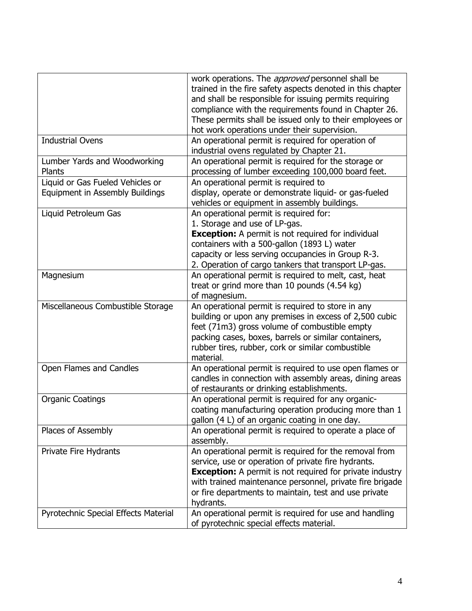|                                                                     | work operations. The <i>approved</i> personnel shall be<br>trained in the fire safety aspects denoted in this chapter<br>and shall be responsible for issuing permits requiring<br>compliance with the requirements found in Chapter 26.<br>These permits shall be issued only to their employees or<br>hot work operations under their supervision. |
|---------------------------------------------------------------------|------------------------------------------------------------------------------------------------------------------------------------------------------------------------------------------------------------------------------------------------------------------------------------------------------------------------------------------------------|
| <b>Industrial Ovens</b>                                             | An operational permit is required for operation of<br>industrial ovens regulated by Chapter 21.                                                                                                                                                                                                                                                      |
| Lumber Yards and Woodworking<br>Plants                              | An operational permit is required for the storage or<br>processing of lumber exceeding 100,000 board feet.                                                                                                                                                                                                                                           |
| Liquid or Gas Fueled Vehicles or<br>Equipment in Assembly Buildings | An operational permit is required to<br>display, operate or demonstrate liquid- or gas-fueled<br>vehicles or equipment in assembly buildings.                                                                                                                                                                                                        |
| Liquid Petroleum Gas                                                | An operational permit is required for:<br>1. Storage and use of LP-gas.<br><b>Exception:</b> A permit is not required for individual<br>containers with a 500-gallon (1893 L) water<br>capacity or less serving occupancies in Group R-3.<br>2. Operation of cargo tankers that transport LP-gas.                                                    |
| Magnesium                                                           | An operational permit is required to melt, cast, heat<br>treat or grind more than 10 pounds (4.54 kg)<br>of magnesium.                                                                                                                                                                                                                               |
| Miscellaneous Combustible Storage                                   | An operational permit is required to store in any<br>building or upon any premises in excess of 2,500 cubic<br>feet (71m3) gross volume of combustible empty<br>packing cases, boxes, barrels or similar containers,<br>rubber tires, rubber, cork or similar combustible<br>material.                                                               |
| Open Flames and Candles                                             | An operational permit is required to use open flames or<br>candles in connection with assembly areas, dining areas<br>of restaurants or drinking establishments.                                                                                                                                                                                     |
| <b>Organic Coatings</b>                                             | An operational permit is required for any organic-<br>coating manufacturing operation producing more than 1<br>gallon (4 L) of an organic coating in one day.                                                                                                                                                                                        |
| Places of Assembly                                                  | An operational permit is required to operate a place of<br>assembly.                                                                                                                                                                                                                                                                                 |
| Private Fire Hydrants                                               | An operational permit is required for the removal from<br>service, use or operation of private fire hydrants.<br><b>Exception:</b> A permit is not required for private industry<br>with trained maintenance personnel, private fire brigade<br>or fire departments to maintain, test and use private<br>hydrants.                                   |
| Pyrotechnic Special Effects Material                                | An operational permit is required for use and handling<br>of pyrotechnic special effects material.                                                                                                                                                                                                                                                   |